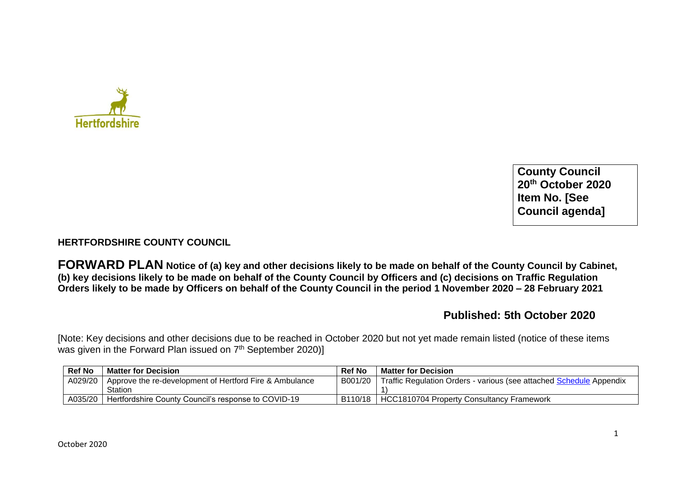

**County Council 20th October 2020 Item No. [See Council agenda]**

## **HERTFORDSHIRE COUNTY COUNCIL**

**FORWARD PLAN Notice of (a) key and other decisions likely to be made on behalf of the County Council by Cabinet, (b) key decisions likely to be made on behalf of the County Council by Officers and (c) decisions on Traffic Regulation Orders likely to be made by Officers on behalf of the County Council in the period 1 November 2020 – 28 February 2021** 

## **Published: 5th October 2020**

[Note: Key decisions and other decisions due to be reached in October 2020 but not yet made remain listed (notice of these items was given in the Forward Plan issued on 7<sup>th</sup> September 2020)]

| <b>Ref No</b> | <b>Matter for Decision</b>                                        | <b>Ref No</b> | <b>Matter for Decision</b>                                          |
|---------------|-------------------------------------------------------------------|---------------|---------------------------------------------------------------------|
|               | A029/20   Approve the re-development of Hertford Fire & Ambulance | B001/20       | Traffic Regulation Orders - various (see attached Schedule Appendix |
|               | Station                                                           |               |                                                                     |
| A035/20       | Hertfordshire County Council's response to COVID-19               | B110/18       | HCC1810704 Property Consultancy Framework                           |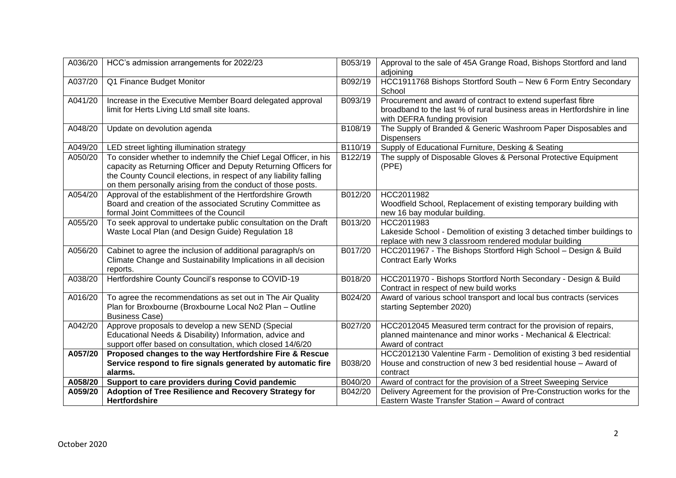| A036/20 | HCC's admission arrangements for 2022/23                                                                                                                                                                                                                                | B053/19 | Approval to the sale of 45A Grange Road, Bishops Stortford and land<br>adjoining                                                                                        |
|---------|-------------------------------------------------------------------------------------------------------------------------------------------------------------------------------------------------------------------------------------------------------------------------|---------|-------------------------------------------------------------------------------------------------------------------------------------------------------------------------|
| A037/20 | Q1 Finance Budget Monitor                                                                                                                                                                                                                                               | B092/19 | HCC1911768 Bishops Stortford South - New 6 Form Entry Secondary<br>School                                                                                               |
| A041/20 | Increase in the Executive Member Board delegated approval<br>limit for Herts Living Ltd small site loans.                                                                                                                                                               | B093/19 | Procurement and award of contract to extend superfast fibre<br>broadband to the last % of rural business areas in Hertfordshire in line<br>with DEFRA funding provision |
| A048/20 | Update on devolution agenda                                                                                                                                                                                                                                             | B108/19 | The Supply of Branded & Generic Washroom Paper Disposables and<br><b>Dispensers</b>                                                                                     |
| A049/20 | LED street lighting illumination strategy                                                                                                                                                                                                                               | B110/19 | Supply of Educational Furniture, Desking & Seating                                                                                                                      |
| A050/20 | To consider whether to indemnify the Chief Legal Officer, in his<br>capacity as Returning Officer and Deputy Returning Officers for<br>the County Council elections, in respect of any liability falling<br>on them personally arising from the conduct of those posts. | B122/19 | The supply of Disposable Gloves & Personal Protective Equipment<br>(PPE)                                                                                                |
| A054/20 | Approval of the establishment of the Hertfordshire Growth<br>Board and creation of the associated Scrutiny Committee as<br>formal Joint Committees of the Council                                                                                                       | B012/20 | HCC2011982<br>Woodfield School, Replacement of existing temporary building with<br>new 16 bay modular building.                                                         |
| A055/20 | To seek approval to undertake public consultation on the Draft<br>Waste Local Plan (and Design Guide) Regulation 18                                                                                                                                                     | B013/20 | HCC2011983<br>Lakeside School - Demolition of existing 3 detached timber buildings to<br>replace with new 3 classroom rendered modular building                         |
| A056/20 | Cabinet to agree the inclusion of additional paragraph/s on<br>Climate Change and Sustainability Implications in all decision<br>reports.                                                                                                                               | B017/20 | HCC2011967 - The Bishops Stortford High School - Design & Build<br><b>Contract Early Works</b>                                                                          |
| A038/20 | Hertfordshire County Council's response to COVID-19                                                                                                                                                                                                                     | B018/20 | HCC2011970 - Bishops Stortford North Secondary - Design & Build<br>Contract in respect of new build works                                                               |
| A016/20 | To agree the recommendations as set out in The Air Quality<br>Plan for Broxbourne (Broxbourne Local No2 Plan - Outline<br><b>Business Case)</b>                                                                                                                         | B024/20 | Award of various school transport and local bus contracts (services<br>starting September 2020)                                                                         |
| A042/20 | Approve proposals to develop a new SEND (Special<br>Educational Needs & Disability) Information, advice and<br>support offer based on consultation, which closed 14/6/20                                                                                                | B027/20 | HCC2012045 Measured term contract for the provision of repairs,<br>planned maintenance and minor works - Mechanical & Electrical:<br>Award of contract                  |
| A057/20 | Proposed changes to the way Hertfordshire Fire & Rescue<br>Service respond to fire signals generated by automatic fire<br>alarms.                                                                                                                                       | B038/20 | HCC2012130 Valentine Farm - Demolition of existing 3 bed residential<br>House and construction of new 3 bed residential house - Award of<br>contract                    |
| A058/20 | Support to care providers during Covid pandemic                                                                                                                                                                                                                         | B040/20 | Award of contract for the provision of a Street Sweeping Service                                                                                                        |
| A059/20 | Adoption of Tree Resilience and Recovery Strategy for<br><b>Hertfordshire</b>                                                                                                                                                                                           | B042/20 | Delivery Agreement for the provision of Pre-Construction works for the<br>Eastern Waste Transfer Station - Award of contract                                            |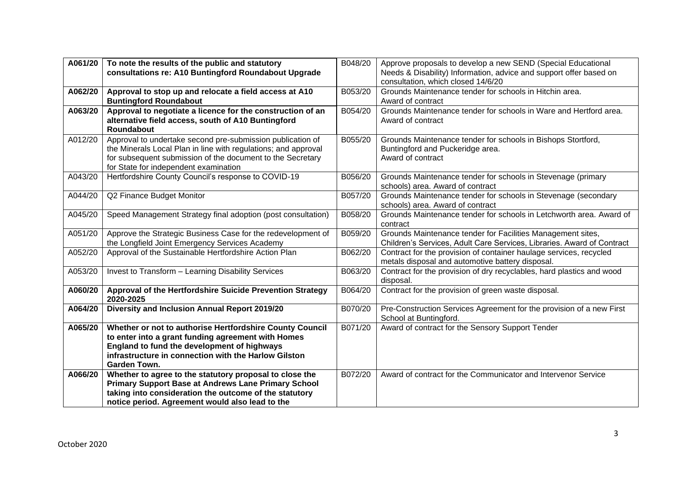| A061/20 | To note the results of the public and statutory<br>consultations re: A10 Buntingford Roundabout Upgrade | B048/20 | Approve proposals to develop a new SEND (Special Educational<br>Needs & Disability) Information, advice and support offer based on |
|---------|---------------------------------------------------------------------------------------------------------|---------|------------------------------------------------------------------------------------------------------------------------------------|
|         |                                                                                                         |         | consultation, which closed 14/6/20                                                                                                 |
| A062/20 | Approval to stop up and relocate a field access at A10                                                  | B053/20 | Grounds Maintenance tender for schools in Hitchin area.                                                                            |
|         | <b>Buntingford Roundabout</b>                                                                           |         | Award of contract                                                                                                                  |
| A063/20 | Approval to negotiate a licence for the construction of an                                              | B054/20 | Grounds Maintenance tender for schools in Ware and Hertford area.                                                                  |
|         | alternative field access, south of A10 Buntingford                                                      |         | Award of contract                                                                                                                  |
|         | Roundabout                                                                                              |         |                                                                                                                                    |
| A012/20 | Approval to undertake second pre-submission publication of                                              | B055/20 | Grounds Maintenance tender for schools in Bishops Stortford,                                                                       |
|         | the Minerals Local Plan in line with regulations; and approval                                          |         | Buntingford and Puckeridge area.                                                                                                   |
|         | for subsequent submission of the document to the Secretary                                              |         | Award of contract                                                                                                                  |
|         | for State for independent examination                                                                   |         |                                                                                                                                    |
| A043/20 | Hertfordshire County Council's response to COVID-19                                                     | B056/20 | Grounds Maintenance tender for schools in Stevenage (primary<br>schools) area. Award of contract                                   |
| A044/20 | Q2 Finance Budget Monitor                                                                               | B057/20 | Grounds Maintenance tender for schools in Stevenage (secondary                                                                     |
|         |                                                                                                         |         | schools) area. Award of contract                                                                                                   |
| A045/20 | Speed Management Strategy final adoption (post consultation)                                            | B058/20 | Grounds Maintenance tender for schools in Letchworth area. Award of<br>contract                                                    |
| A051/20 | Approve the Strategic Business Case for the redevelopment of                                            | B059/20 | Grounds Maintenance tender for Facilities Management sites,                                                                        |
|         | the Longfield Joint Emergency Services Academy                                                          |         | Children's Services, Adult Care Services, Libraries. Award of Contract                                                             |
| A052/20 | Approval of the Sustainable Hertfordshire Action Plan                                                   | B062/20 | Contract for the provision of container haulage services, recycled                                                                 |
|         |                                                                                                         |         | metals disposal and automotive battery disposal.                                                                                   |
| A053/20 | Invest to Transform - Learning Disability Services                                                      | B063/20 | Contract for the provision of dry recyclables, hard plastics and wood<br>disposal.                                                 |
| A060/20 | Approval of the Hertfordshire Suicide Prevention Strategy<br>2020-2025                                  | B064/20 | Contract for the provision of green waste disposal.                                                                                |
| A064/20 | Diversity and Inclusion Annual Report 2019/20                                                           | B070/20 | Pre-Construction Services Agreement for the provision of a new First<br>School at Buntingford.                                     |
| A065/20 | Whether or not to authorise Hertfordshire County Council                                                | B071/20 | Award of contract for the Sensory Support Tender                                                                                   |
|         | to enter into a grant funding agreement with Homes                                                      |         |                                                                                                                                    |
|         | England to fund the development of highways                                                             |         |                                                                                                                                    |
|         | infrastructure in connection with the Harlow Gilston                                                    |         |                                                                                                                                    |
|         | <b>Garden Town.</b>                                                                                     |         |                                                                                                                                    |
| A066/20 | Whether to agree to the statutory proposal to close the                                                 | B072/20 | Award of contract for the Communicator and Intervenor Service                                                                      |
|         | <b>Primary Support Base at Andrews Lane Primary School</b>                                              |         |                                                                                                                                    |
|         | taking into consideration the outcome of the statutory                                                  |         |                                                                                                                                    |
|         | notice period. Agreement would also lead to the                                                         |         |                                                                                                                                    |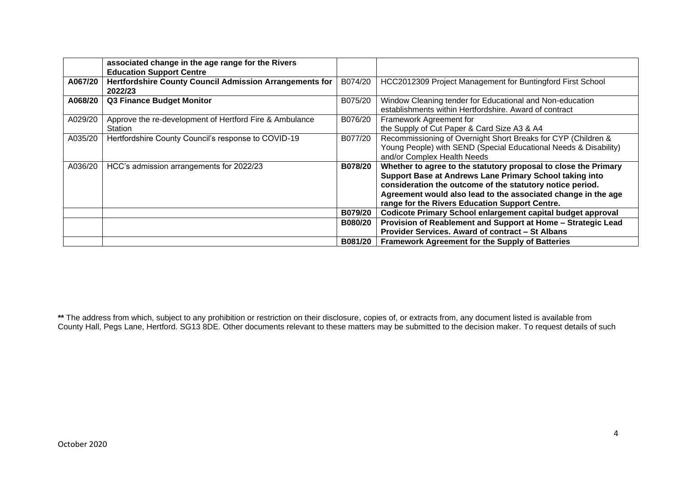|         | associated change in the age range for the Rivers<br><b>Education Support Centre</b> |         |                                                                                                                                                                                                                                                                                                            |
|---------|--------------------------------------------------------------------------------------|---------|------------------------------------------------------------------------------------------------------------------------------------------------------------------------------------------------------------------------------------------------------------------------------------------------------------|
| A067/20 | <b>Hertfordshire County Council Admission Arrangements for</b><br>2022/23            | B074/20 | HCC2012309 Project Management for Buntingford First School                                                                                                                                                                                                                                                 |
| A068/20 | <b>Q3 Finance Budget Monitor</b>                                                     | B075/20 | Window Cleaning tender for Educational and Non-education<br>establishments within Hertfordshire. Award of contract                                                                                                                                                                                         |
| A029/20 | Approve the re-development of Hertford Fire & Ambulance<br>Station                   | B076/20 | Framework Agreement for<br>the Supply of Cut Paper & Card Size A3 & A4                                                                                                                                                                                                                                     |
| A035/20 | Hertfordshire County Council's response to COVID-19                                  | B077/20 | Recommissioning of Overnight Short Breaks for CYP (Children &<br>Young People) with SEND (Special Educational Needs & Disability)<br>and/or Complex Health Needs                                                                                                                                           |
| A036/20 | HCC's admission arrangements for 2022/23                                             | B078/20 | Whether to agree to the statutory proposal to close the Primary<br>Support Base at Andrews Lane Primary School taking into<br>consideration the outcome of the statutory notice period.<br>Agreement would also lead to the associated change in the age<br>range for the Rivers Education Support Centre. |
|         |                                                                                      | B079/20 | Codicote Primary School enlargement capital budget approval                                                                                                                                                                                                                                                |
|         |                                                                                      | B080/20 | Provision of Reablement and Support at Home - Strategic Lead                                                                                                                                                                                                                                               |
|         |                                                                                      |         | Provider Services. Award of contract - St Albans                                                                                                                                                                                                                                                           |
|         |                                                                                      | B081/20 | Framework Agreement for the Supply of Batteries                                                                                                                                                                                                                                                            |

**\*\*** The address from which, subject to any prohibition or restriction on their disclosure, copies of, or extracts from, any document listed is available from County Hall, Pegs Lane, Hertford. SG13 8DE. Other documents relevant to these matters may be submitted to the decision maker. To request details of such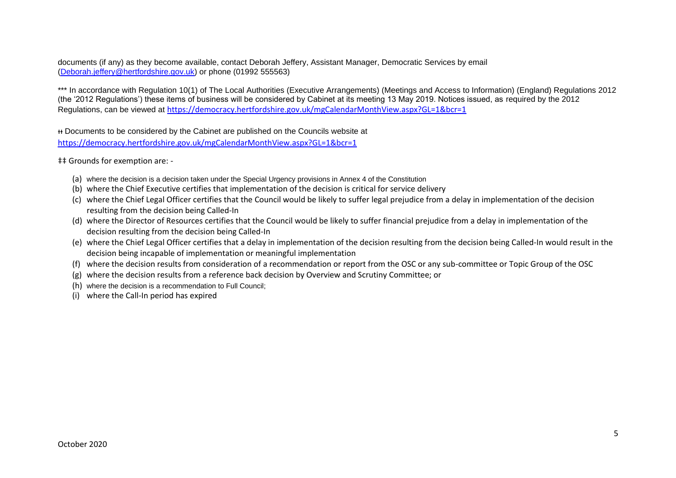documents (if any) as they become available, contact Deborah Jeffery, Assistant Manager, Democratic Services by email [\(Deborah.jeffery@hertfordshire.gov.uk\)](mailto:Deborah.jeffery@hertfordshire.gov.uk) or phone (01992 555563)

\*\*\* In accordance with Regulation 10(1) of The Local Authorities (Executive Arrangements) (Meetings and Access to Information) (England) Regulations 2012 (the '2012 Regulations') these items of business will be considered by Cabinet at its meeting 13 May 2019. Notices issued, as required by the 2012 Regulations, can be viewed at <https://democracy.hertfordshire.gov.uk/mgCalendarMonthView.aspx?GL=1&bcr=1>

ᵻᵻ Documents to be considered by the Cabinet are published on the Councils website at <https://democracy.hertfordshire.gov.uk/mgCalendarMonthView.aspx?GL=1&bcr=1>

‡‡ Grounds for exemption are: -

- (a) where the decision is a decision taken under the Special Urgency provisions in Annex 4 of the Constitution
- (b) where the Chief Executive certifies that implementation of the decision is critical for service delivery
- (c) where the Chief Legal Officer certifies that the Council would be likely to suffer legal prejudice from a delay in implementation of the decision resulting from the decision being Called-In
- (d) where the Director of Resources certifies that the Council would be likely to suffer financial prejudice from a delay in implementation of the decision resulting from the decision being Called-In
- (e) where the Chief Legal Officer certifies that a delay in implementation of the decision resulting from the decision being Called-In would result in the decision being incapable of implementation or meaningful implementation
- (f) where the decision results from consideration of a recommendation or report from the OSC or any sub-committee or Topic Group of the OSC
- (g) where the decision results from a reference back decision by Overview and Scrutiny Committee; or
- (h) where the decision is a recommendation to Full Council;
- (i) where the Call-In period has expired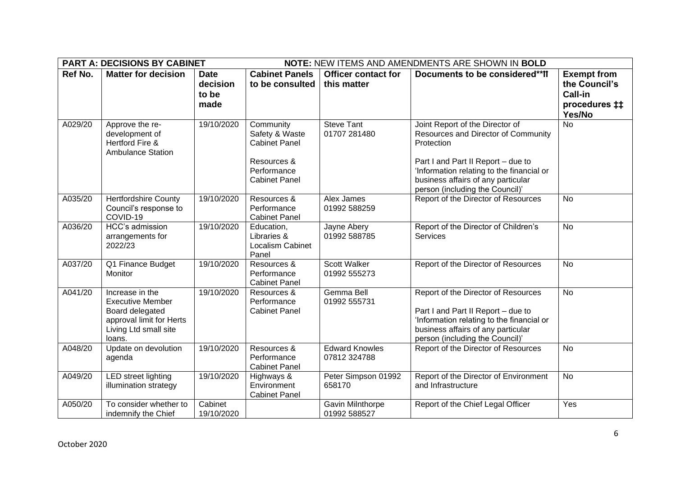| <b>PART A: DECISIONS BY CABINET</b><br>NOTE: NEW ITEMS AND AMENDMENTS ARE SHOWN IN BOLD |                                                                                                                              |                                          |                                                                                                           |                                           |                                                                                                                                                                                                                                                  |                                                                                  |
|-----------------------------------------------------------------------------------------|------------------------------------------------------------------------------------------------------------------------------|------------------------------------------|-----------------------------------------------------------------------------------------------------------|-------------------------------------------|--------------------------------------------------------------------------------------------------------------------------------------------------------------------------------------------------------------------------------------------------|----------------------------------------------------------------------------------|
| Ref No.                                                                                 | <b>Matter for decision</b>                                                                                                   | <b>Date</b><br>decision<br>to be<br>made | <b>Cabinet Panels</b><br>to be consulted                                                                  | <b>Officer contact for</b><br>this matter | Documents to be considered**II                                                                                                                                                                                                                   | <b>Exempt from</b><br>the Council's<br>Call-in<br>procedures <b>##</b><br>Yes/No |
| A029/20                                                                                 | Approve the re-<br>development of<br>Hertford Fire &<br><b>Ambulance Station</b>                                             | 19/10/2020                               | Community<br>Safety & Waste<br><b>Cabinet Panel</b><br>Resources &<br>Performance<br><b>Cabinet Panel</b> | <b>Steve Tant</b><br>01707 281480         | Joint Report of the Director of<br>Resources and Director of Community<br>Protection<br>Part I and Part II Report - due to<br>'Information relating to the financial or<br>business affairs of any particular<br>person (including the Council)' | <b>No</b>                                                                        |
| A035/20                                                                                 | <b>Hertfordshire County</b><br>Council's response to<br>COVID-19                                                             | 19/10/2020                               | Resources &<br>Performance<br><b>Cabinet Panel</b>                                                        | Alex James<br>01992 588259                | Report of the Director of Resources                                                                                                                                                                                                              | <b>No</b>                                                                        |
| A036/20                                                                                 | HCC's admission<br>arrangements for<br>2022/23                                                                               | 19/10/2020                               | Education,<br>Libraries &<br>Localism Cabinet<br>Panel                                                    | Jayne Abery<br>01992 588785               | Report of the Director of Children's<br>Services                                                                                                                                                                                                 | <b>No</b>                                                                        |
| A037/20                                                                                 | Q1 Finance Budget<br>Monitor                                                                                                 | 19/10/2020                               | Resources &<br>Performance<br><b>Cabinet Panel</b>                                                        | Scott Walker<br>01992 555273              | Report of the Director of Resources                                                                                                                                                                                                              | <b>No</b>                                                                        |
| A041/20                                                                                 | Increase in the<br><b>Executive Member</b><br>Board delegated<br>approval limit for Herts<br>Living Ltd small site<br>loans. | 19/10/2020                               | Resources &<br>Performance<br><b>Cabinet Panel</b>                                                        | Gemma Bell<br>01992 555731                | Report of the Director of Resources<br>Part I and Part II Report - due to<br>'Information relating to the financial or<br>business affairs of any particular<br>person (including the Council)'                                                  | <b>No</b>                                                                        |
| A048/20                                                                                 | Update on devolution<br>agenda                                                                                               | 19/10/2020                               | Resources &<br>Performance<br><b>Cabinet Panel</b>                                                        | <b>Edward Knowles</b><br>07812 324788     | Report of the Director of Resources                                                                                                                                                                                                              | <b>No</b>                                                                        |
| A049/20                                                                                 | <b>LED</b> street lighting<br>illumination strategy                                                                          | 19/10/2020                               | Highways &<br>Environment<br><b>Cabinet Panel</b>                                                         | Peter Simpson 01992<br>658170             | Report of the Director of Environment<br>and Infrastructure                                                                                                                                                                                      | <b>No</b>                                                                        |
| A050/20                                                                                 | To consider whether to<br>indemnify the Chief                                                                                | Cabinet<br>19/10/2020                    |                                                                                                           | Gavin Milnthorpe<br>01992 588527          | Report of the Chief Legal Officer                                                                                                                                                                                                                | Yes                                                                              |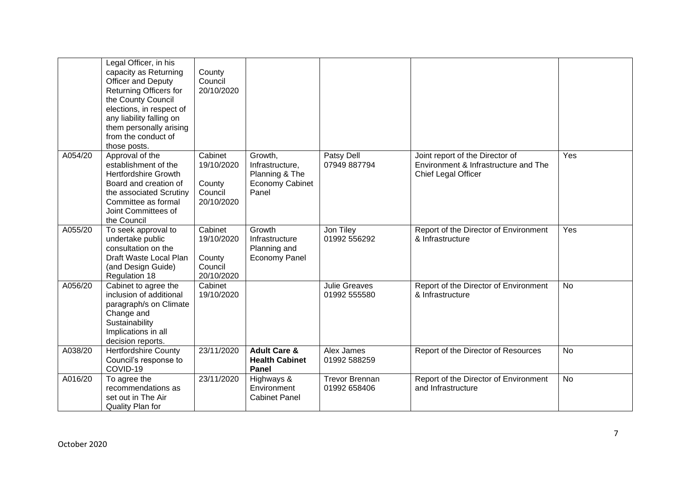|         | Legal Officer, in his<br>capacity as Returning<br>Officer and Deputy<br>Returning Officers for<br>the County Council<br>elections, in respect of<br>any liability falling on<br>them personally arising<br>from the conduct of<br>those posts. | County<br>Council<br>20/10/2020                          |                                                                                 |                                       |                                                                                                |           |
|---------|------------------------------------------------------------------------------------------------------------------------------------------------------------------------------------------------------------------------------------------------|----------------------------------------------------------|---------------------------------------------------------------------------------|---------------------------------------|------------------------------------------------------------------------------------------------|-----------|
| A054/20 | Approval of the<br>establishment of the<br><b>Hertfordshire Growth</b><br>Board and creation of<br>the associated Scrutiny<br>Committee as formal<br>Joint Committees of<br>the Council                                                        | Cabinet<br>19/10/2020<br>County<br>Council<br>20/10/2020 | Growth,<br>Infrastructure,<br>Planning & The<br><b>Economy Cabinet</b><br>Panel | Patsy Dell<br>07949 887794            | Joint report of the Director of<br>Environment & Infrastructure and The<br>Chief Legal Officer | Yes       |
| A055/20 | To seek approval to<br>undertake public<br>consultation on the<br>Draft Waste Local Plan<br>(and Design Guide)<br>Regulation 18                                                                                                                | Cabinet<br>19/10/2020<br>County<br>Council<br>20/10/2020 | Growth<br>Infrastructure<br>Planning and<br><b>Economy Panel</b>                | Jon Tiley<br>01992 556292             | Report of the Director of Environment<br>& Infrastructure                                      | Yes       |
| A056/20 | Cabinet to agree the<br>inclusion of additional<br>paragraph/s on Climate<br>Change and<br>Sustainability<br>Implications in all<br>decision reports.                                                                                          | Cabinet<br>19/10/2020                                    |                                                                                 | <b>Julie Greaves</b><br>01992 555580  | Report of the Director of Environment<br>& Infrastructure                                      | <b>No</b> |
| A038/20 | <b>Hertfordshire County</b><br>Council's response to<br>COVID-19                                                                                                                                                                               | 23/11/2020                                               | <b>Adult Care &amp;</b><br><b>Health Cabinet</b><br>Panel                       | Alex James<br>01992 588259            | Report of the Director of Resources                                                            | <b>No</b> |
| A016/20 | To agree the<br>recommendations as<br>set out in The Air<br>Quality Plan for                                                                                                                                                                   | 23/11/2020                                               | Highways &<br>Environment<br><b>Cabinet Panel</b>                               | <b>Trevor Brennan</b><br>01992 658406 | Report of the Director of Environment<br>and Infrastructure                                    | <b>No</b> |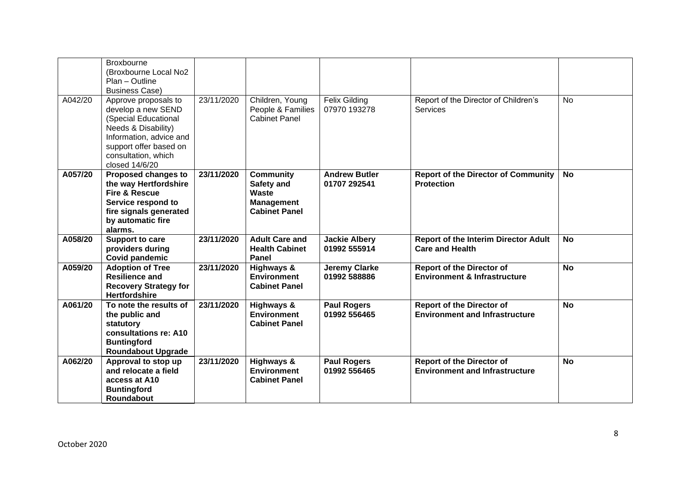|         | <b>Broxbourne</b><br>(Broxbourne Local No2<br>Plan - Outline<br><b>Business Case)</b>                                                                                                   |            |                                                                                      |                                      |                                                                             |           |
|---------|-----------------------------------------------------------------------------------------------------------------------------------------------------------------------------------------|------------|--------------------------------------------------------------------------------------|--------------------------------------|-----------------------------------------------------------------------------|-----------|
| A042/20 | Approve proposals to<br>develop a new SEND<br>(Special Educational<br>Needs & Disability)<br>Information, advice and<br>support offer based on<br>consultation, which<br>closed 14/6/20 | 23/11/2020 | Children, Young<br>People & Families<br><b>Cabinet Panel</b>                         | <b>Felix Gilding</b><br>07970 193278 | Report of the Director of Children's<br><b>Services</b>                     | <b>No</b> |
| A057/20 | Proposed changes to<br>the way Hertfordshire<br><b>Fire &amp; Rescue</b><br>Service respond to<br>fire signals generated<br>by automatic fire<br>alarms.                                | 23/11/2020 | <b>Community</b><br>Safety and<br>Waste<br><b>Management</b><br><b>Cabinet Panel</b> | <b>Andrew Butler</b><br>01707 292541 | <b>Report of the Director of Community</b><br><b>Protection</b>             | No        |
| A058/20 | Support to care<br>providers during<br><b>Covid pandemic</b>                                                                                                                            | 23/11/2020 | <b>Adult Care and</b><br><b>Health Cabinet</b><br>Panel                              | <b>Jackie Albery</b><br>01992 555914 | <b>Report of the Interim Director Adult</b><br><b>Care and Health</b>       | <b>No</b> |
| A059/20 | <b>Adoption of Tree</b><br><b>Resilience and</b><br><b>Recovery Strategy for</b><br><b>Hertfordshire</b>                                                                                | 23/11/2020 | Highways &<br><b>Environment</b><br><b>Cabinet Panel</b>                             | Jeremy Clarke<br>01992 588886        | <b>Report of the Director of</b><br><b>Environment &amp; Infrastructure</b> | <b>No</b> |
| A061/20 | To note the results of<br>the public and<br>statutory<br>consultations re: A10<br><b>Buntingford</b><br><b>Roundabout Upgrade</b>                                                       | 23/11/2020 | Highways &<br><b>Environment</b><br><b>Cabinet Panel</b>                             | <b>Paul Rogers</b><br>01992 556465   | <b>Report of the Director of</b><br><b>Environment and Infrastructure</b>   | <b>No</b> |
| A062/20 | Approval to stop up<br>and relocate a field<br>access at A10<br><b>Buntingford</b><br>Roundabout                                                                                        | 23/11/2020 | <b>Highways &amp;</b><br><b>Environment</b><br><b>Cabinet Panel</b>                  | <b>Paul Rogers</b><br>01992 556465   | <b>Report of the Director of</b><br><b>Environment and Infrastructure</b>   | <b>No</b> |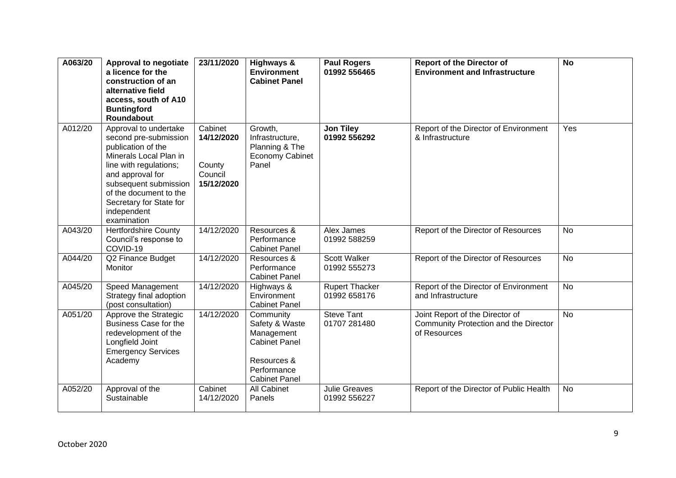| A063/20 | Approval to negotiate<br>a licence for the<br>construction of an<br>alternative field<br>access, south of A10<br><b>Buntingford</b><br>Roundabout                                                                                                        | 23/11/2020                                               | Highways &<br><b>Environment</b><br><b>Cabinet Panel</b>                                                                | <b>Paul Rogers</b><br>01992 556465    | <b>Report of the Director of</b><br><b>Environment and Infrastructure</b>                | $\overline{N}$ |
|---------|----------------------------------------------------------------------------------------------------------------------------------------------------------------------------------------------------------------------------------------------------------|----------------------------------------------------------|-------------------------------------------------------------------------------------------------------------------------|---------------------------------------|------------------------------------------------------------------------------------------|----------------|
| A012/20 | Approval to undertake<br>second pre-submission<br>publication of the<br>Minerals Local Plan in<br>line with regulations;<br>and approval for<br>subsequent submission<br>of the document to the<br>Secretary for State for<br>independent<br>examination | Cabinet<br>14/12/2020<br>County<br>Council<br>15/12/2020 | Growth,<br>Infrastructure,<br>Planning & The<br><b>Economy Cabinet</b><br>Panel                                         | <b>Jon Tiley</b><br>01992 556292      | Report of the Director of Environment<br>& Infrastructure                                | Yes            |
| A043/20 | <b>Hertfordshire County</b><br>Council's response to<br>COVID-19                                                                                                                                                                                         | 14/12/2020                                               | Resources &<br>Performance<br><b>Cabinet Panel</b>                                                                      | Alex James<br>01992 588259            | Report of the Director of Resources                                                      | <b>No</b>      |
| A044/20 | Q2 Finance Budget<br>Monitor                                                                                                                                                                                                                             | 14/12/2020                                               | Resources &<br>Performance<br><b>Cabinet Panel</b>                                                                      | Scott Walker<br>01992 555273          | Report of the Director of Resources                                                      | <b>No</b>      |
| A045/20 | Speed Management<br>Strategy final adoption<br>(post consultation)                                                                                                                                                                                       | 14/12/2020                                               | Highways &<br>Environment<br><b>Cabinet Panel</b>                                                                       | <b>Rupert Thacker</b><br>01992 658176 | Report of the Director of Environment<br>and Infrastructure                              | <b>No</b>      |
| A051/20 | Approve the Strategic<br><b>Business Case for the</b><br>redevelopment of the<br>Longfield Joint<br><b>Emergency Services</b><br>Academy                                                                                                                 | 14/12/2020                                               | Community<br>Safety & Waste<br>Management<br><b>Cabinet Panel</b><br>Resources &<br>Performance<br><b>Cabinet Panel</b> | <b>Steve Tant</b><br>01707 281480     | Joint Report of the Director of<br>Community Protection and the Director<br>of Resources | <b>No</b>      |
| A052/20 | Approval of the<br>Sustainable                                                                                                                                                                                                                           | Cabinet<br>14/12/2020                                    | <b>All Cabinet</b><br>Panels                                                                                            | <b>Julie Greaves</b><br>01992 556227  | Report of the Director of Public Health                                                  | <b>No</b>      |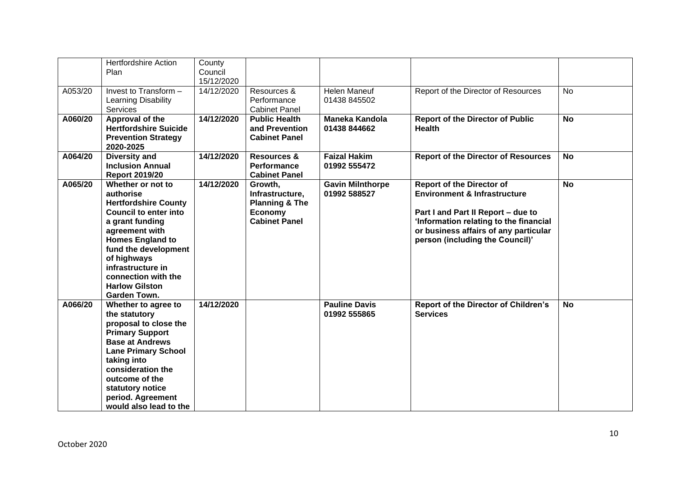|         | <b>Hertfordshire Action</b><br>Plan                                                                                                                                                                                                                                                              | County<br>Council        |                                                                                                   |                                         |                                                                                                                                                                                                                                         |           |
|---------|--------------------------------------------------------------------------------------------------------------------------------------------------------------------------------------------------------------------------------------------------------------------------------------------------|--------------------------|---------------------------------------------------------------------------------------------------|-----------------------------------------|-----------------------------------------------------------------------------------------------------------------------------------------------------------------------------------------------------------------------------------------|-----------|
| A053/20 | Invest to Transform -<br>Learning Disability<br>Services                                                                                                                                                                                                                                         | 15/12/2020<br>14/12/2020 | Resources &<br>Performance<br><b>Cabinet Panel</b>                                                | <b>Helen Maneuf</b><br>01438 845502     | Report of the Director of Resources                                                                                                                                                                                                     | <b>No</b> |
| A060/20 | Approval of the<br><b>Hertfordshire Suicide</b><br><b>Prevention Strategy</b><br>2020-2025                                                                                                                                                                                                       | 14/12/2020               | <b>Public Health</b><br>and Prevention<br><b>Cabinet Panel</b>                                    | <b>Maneka Kandola</b><br>01438 844662   | <b>Report of the Director of Public</b><br><b>Health</b>                                                                                                                                                                                | <b>No</b> |
| A064/20 | <b>Diversity and</b><br><b>Inclusion Annual</b><br><b>Report 2019/20</b>                                                                                                                                                                                                                         | 14/12/2020               | <b>Resources &amp;</b><br>Performance<br><b>Cabinet Panel</b>                                     | <b>Faizal Hakim</b><br>01992 555472     | <b>Report of the Director of Resources</b>                                                                                                                                                                                              | <b>No</b> |
| A065/20 | Whether or not to<br>authorise<br><b>Hertfordshire County</b><br><b>Council to enter into</b><br>a grant funding<br>agreement with<br><b>Homes England to</b><br>fund the development<br>of highways<br>infrastructure in<br>connection with the<br><b>Harlow Gilston</b><br><b>Garden Town.</b> | 14/12/2020               | Growth,<br>Infrastructure,<br><b>Planning &amp; The</b><br><b>Economy</b><br><b>Cabinet Panel</b> | <b>Gavin Milnthorpe</b><br>01992 588527 | <b>Report of the Director of</b><br><b>Environment &amp; Infrastructure</b><br>Part I and Part II Report - due to<br>'Information relating to the financial<br>or business affairs of any particular<br>person (including the Council)' | <b>No</b> |
| A066/20 | Whether to agree to<br>the statutory<br>proposal to close the<br><b>Primary Support</b><br><b>Base at Andrews</b><br><b>Lane Primary School</b><br>taking into<br>consideration the<br>outcome of the<br>statutory notice<br>period. Agreement<br>would also lead to the                         | 14/12/2020               |                                                                                                   | <b>Pauline Davis</b><br>01992 555865    | <b>Report of the Director of Children's</b><br><b>Services</b>                                                                                                                                                                          | <b>No</b> |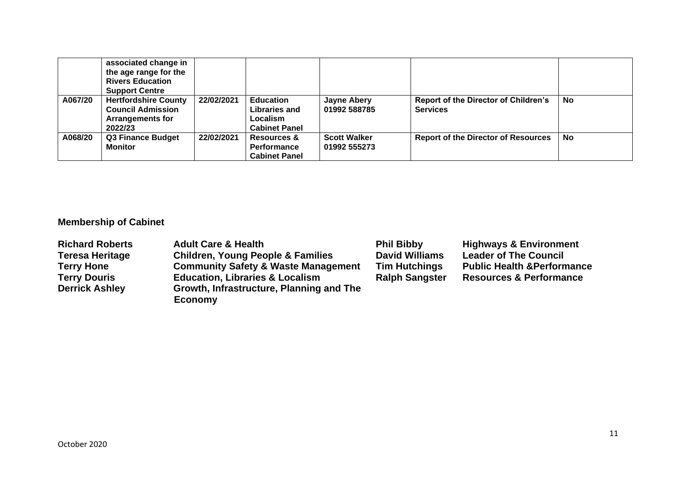|         | associated change in<br>the age range for the<br><b>Rivers Education</b><br><b>Support Centre</b> |            |                                                                       |                                     |                                                                |    |
|---------|---------------------------------------------------------------------------------------------------|------------|-----------------------------------------------------------------------|-------------------------------------|----------------------------------------------------------------|----|
| A067/20 | <b>Hertfordshire County</b><br><b>Council Admission</b><br><b>Arrangements for</b><br>2022/23     | 22/02/2021 | <b>Education</b><br>Libraries and<br>Localism<br><b>Cabinet Panel</b> | <b>Jayne Abery</b><br>01992 588785  | <b>Report of the Director of Children's</b><br><b>Services</b> | No |
| A068/20 | <b>Q3 Finance Budget</b><br><b>Monitor</b>                                                        | 22/02/2021 | <b>Resources &amp;</b><br><b>Performance</b><br><b>Cabinet Panel</b>  | <b>Scott Walker</b><br>01992 555273 | <b>Report of the Director of Resources</b>                     | No |

# **Membership of Cabinet**

| <b>Richard Roberts</b><br><b>Teresa Heritage</b><br><b>Terry Hone</b><br><b>Terry Douris</b><br><b>Derrick Ashley</b> | <b>Adult Care &amp; Health</b><br><b>Children, Young People &amp; Families</b><br><b>Community Safety &amp; Waste Management</b><br><b>Education, Libraries &amp; Localism</b><br>Growth, Infrastructure, Planning and The<br><b>Economy</b> | <b>Phil Bibby</b><br><b>David Williams</b><br><b>Tim Hutchings</b><br><b>Ralph Sangster</b> | <b>Highways &amp; Environment</b><br><b>Leader of The Council</b><br><b>Public Health &amp; Performance</b><br><b>Resources &amp; Performance</b> |
|-----------------------------------------------------------------------------------------------------------------------|----------------------------------------------------------------------------------------------------------------------------------------------------------------------------------------------------------------------------------------------|---------------------------------------------------------------------------------------------|---------------------------------------------------------------------------------------------------------------------------------------------------|
|-----------------------------------------------------------------------------------------------------------------------|----------------------------------------------------------------------------------------------------------------------------------------------------------------------------------------------------------------------------------------------|---------------------------------------------------------------------------------------------|---------------------------------------------------------------------------------------------------------------------------------------------------|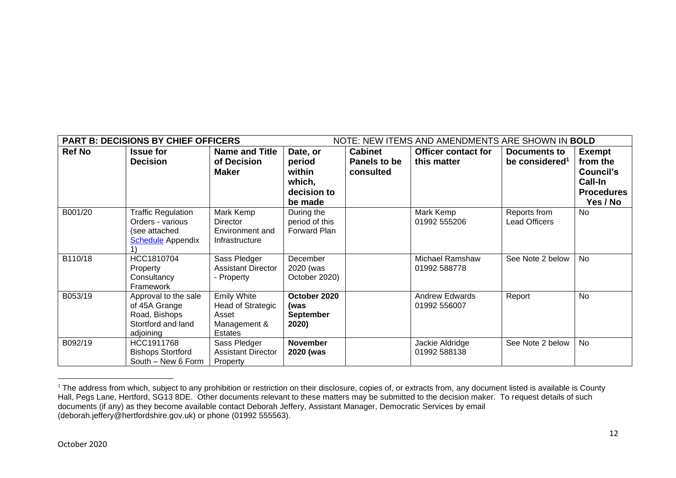|               | <b>PART B: DECISIONS BY CHIEF OFFICERS</b> |                           |                  |                | NOTE: NEW ITEMS AND AMENDMENTS ARE SHOWN IN BOLD |                            |                   |
|---------------|--------------------------------------------|---------------------------|------------------|----------------|--------------------------------------------------|----------------------------|-------------------|
| <b>Ref No</b> | <b>Issue for</b>                           | <b>Name and Title</b>     | Date, or         | <b>Cabinet</b> | <b>Officer contact for</b>                       | Documents to               | <b>Exempt</b>     |
|               | <b>Decision</b>                            | of Decision               | period           | Panels to be   | this matter                                      | be considered <sup>1</sup> | from the          |
|               |                                            | <b>Maker</b>              | within           | consulted      |                                                  |                            | Council's         |
|               |                                            |                           | which,           |                |                                                  |                            | Call-In           |
|               |                                            |                           | decision to      |                |                                                  |                            | <b>Procedures</b> |
|               |                                            |                           | be made          |                |                                                  |                            | Yes / No          |
| B001/20       | <b>Traffic Regulation</b>                  | Mark Kemp                 | During the       |                | Mark Kemp                                        | Reports from               | <b>No</b>         |
|               | Orders - various                           | <b>Director</b>           | period of this   |                | 01992 555206                                     | <b>Lead Officers</b>       |                   |
|               | (see attached                              | Environment and           | Forward Plan     |                |                                                  |                            |                   |
|               | <b>Schedule</b> Appendix                   | Infrastructure            |                  |                |                                                  |                            |                   |
|               |                                            |                           |                  |                |                                                  |                            |                   |
| B110/18       | HCC1810704                                 | Sass Pledger              | December         |                | <b>Michael Ramshaw</b>                           | See Note 2 below           | No                |
|               | Property                                   | <b>Assistant Director</b> | 2020 (was        |                | 01992 588778                                     |                            |                   |
|               | Consultancy<br>Framework                   | - Property                | October 2020)    |                |                                                  |                            |                   |
| B053/19       | Approval to the sale                       | <b>Emily White</b>        | October 2020     |                | <b>Andrew Edwards</b>                            | Report                     | <b>No</b>         |
|               | of 45A Grange                              | Head of Strategic         | (was             |                | 01992 556007                                     |                            |                   |
|               | Road, Bishops                              | Asset                     | <b>September</b> |                |                                                  |                            |                   |
|               | Stortford and land                         | Management &              | 2020)            |                |                                                  |                            |                   |
|               | adjoining                                  | Estates                   |                  |                |                                                  |                            |                   |
| B092/19       | HCC1911768                                 | Sass Pledger              | <b>November</b>  |                | Jackie Aldridge                                  | See Note 2 below           | No                |
|               | <b>Bishops Stortford</b>                   | <b>Assistant Director</b> | 2020 (was        |                | 01992 588138                                     |                            |                   |
|               | South - New 6 Form                         | Property                  |                  |                |                                                  |                            |                   |

<sup>&</sup>lt;sup>1</sup> The address from which, subject to any prohibition or restriction on their disclosure, copies of, or extracts from, any document listed is available is County Hall, Pegs Lane, Hertford, SG13 8DE. Other documents relevant to these matters may be submitted to the decision maker. To request details of such documents (if any) as they become available contact Deborah Jeffery, Assistant Manager, Democratic Services by email (deborah.jeffery@hertfordshire.gov.uk) or phone (01992 555563).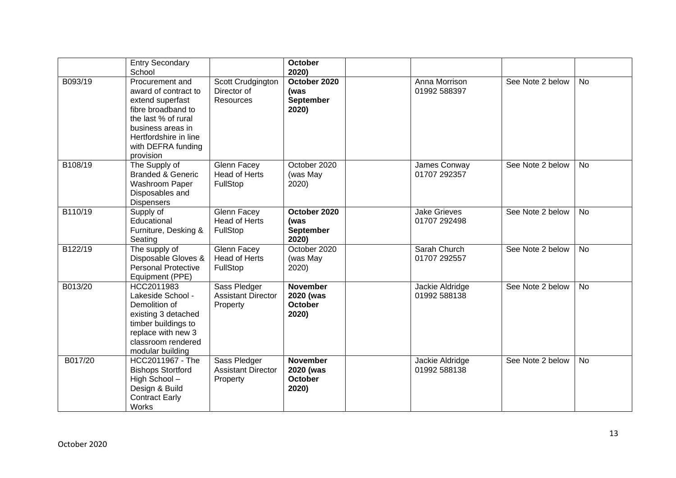|         | <b>Entry Secondary</b><br>School                                                                                                                                                          |                                                        | <b>October</b><br>2020)                                 |                                     |                  |           |
|---------|-------------------------------------------------------------------------------------------------------------------------------------------------------------------------------------------|--------------------------------------------------------|---------------------------------------------------------|-------------------------------------|------------------|-----------|
| B093/19 | Procurement and<br>award of contract to<br>extend superfast<br>fibre broadband to<br>the last % of rural<br>business areas in<br>Hertfordshire in line<br>with DEFRA funding<br>provision | Scott Crudgington<br>Director of<br><b>Resources</b>   | October 2020<br>(was<br><b>September</b><br>2020)       | Anna Morrison<br>01992 588397       | See Note 2 below | <b>No</b> |
| B108/19 | The Supply of<br><b>Branded &amp; Generic</b><br>Washroom Paper<br>Disposables and<br><b>Dispensers</b>                                                                                   | <b>Glenn Facey</b><br>Head of Herts<br>FullStop        | October 2020<br>(was May<br>2020)                       | James Conway<br>01707 292357        | See Note 2 below | <b>No</b> |
| B110/19 | Supply of<br>Educational<br>Furniture, Desking &<br>Seating                                                                                                                               | <b>Glenn Facey</b><br><b>Head of Herts</b><br>FullStop | October 2020<br>(was<br><b>September</b><br>2020)       | <b>Jake Grieves</b><br>01707 292498 | See Note 2 below | <b>No</b> |
| B122/19 | The supply of<br>Disposable Gloves &<br><b>Personal Protective</b><br>Equipment (PPE)                                                                                                     | Glenn Facey<br><b>Head of Herts</b><br>FullStop        | October 2020<br>(was May<br>2020)                       | Sarah Church<br>01707 292557        | See Note 2 below | <b>No</b> |
| B013/20 | HCC2011983<br>Lakeside School -<br>Demolition of<br>existing 3 detached<br>timber buildings to<br>replace with new 3<br>classroom rendered<br>modular building                            | Sass Pledger<br><b>Assistant Director</b><br>Property  | <b>November</b><br>2020 (was<br><b>October</b><br>2020) | Jackie Aldridge<br>01992 588138     | See Note 2 below | <b>No</b> |
| B017/20 | HCC2011967 - The<br><b>Bishops Stortford</b><br>High School-<br>Design & Build<br><b>Contract Early</b><br>Works                                                                          | Sass Pledger<br><b>Assistant Director</b><br>Property  | <b>November</b><br>2020 (was<br><b>October</b><br>2020) | Jackie Aldridge<br>01992 588138     | See Note 2 below | <b>No</b> |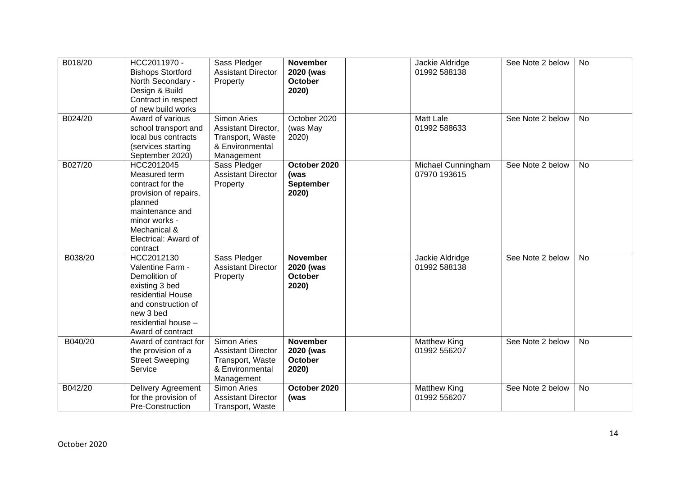| B018/20 | HCC2011970 -<br><b>Bishops Stortford</b><br>North Secondary -<br>Design & Build<br>Contract in respect<br>of new build works                                                | Sass Pledger<br><b>Assistant Director</b><br>Property                                                | <b>November</b><br>2020 (was<br>October<br>2020)        | Jackie Aldridge<br>01992 588138     | See Note 2 below | No        |
|---------|-----------------------------------------------------------------------------------------------------------------------------------------------------------------------------|------------------------------------------------------------------------------------------------------|---------------------------------------------------------|-------------------------------------|------------------|-----------|
| B024/20 | Award of various<br>school transport and<br>local bus contracts<br>(services starting<br>September 2020)                                                                    | <b>Simon Aries</b><br>Assistant Director,<br>Transport, Waste<br>& Environmental<br>Management       | October 2020<br>(was May<br>2020)                       | Matt Lale<br>01992 588633           | See Note 2 below | <b>No</b> |
| B027/20 | HCC2012045<br>Measured term<br>contract for the<br>provision of repairs,<br>planned<br>maintenance and<br>minor works -<br>Mechanical &<br>Electrical: Award of<br>contract | Sass Pledger<br><b>Assistant Director</b><br>Property                                                | October 2020<br>(was<br><b>September</b><br>2020)       | Michael Cunningham<br>07970 193615  | See Note 2 below | <b>No</b> |
| B038/20 | HCC2012130<br>Valentine Farm -<br>Demolition of<br>existing 3 bed<br>residential House<br>and construction of<br>new 3 bed<br>residential house -<br>Award of contract      | Sass Pledger<br><b>Assistant Director</b><br>Property                                                | <b>November</b><br>2020 (was<br><b>October</b><br>2020) | Jackie Aldridge<br>01992 588138     | See Note 2 below | <b>No</b> |
| B040/20 | Award of contract for<br>the provision of a<br><b>Street Sweeping</b><br>Service                                                                                            | <b>Simon Aries</b><br><b>Assistant Director</b><br>Transport, Waste<br>& Environmental<br>Management | <b>November</b><br>2020 (was<br><b>October</b><br>2020) | <b>Matthew King</b><br>01992 556207 | See Note 2 below | <b>No</b> |
| B042/20 | Delivery Agreement<br>for the provision of<br>Pre-Construction                                                                                                              | Simon Aries<br><b>Assistant Director</b><br>Transport, Waste                                         | October 2020<br>(was                                    | <b>Matthew King</b><br>01992 556207 | See Note 2 below | <b>No</b> |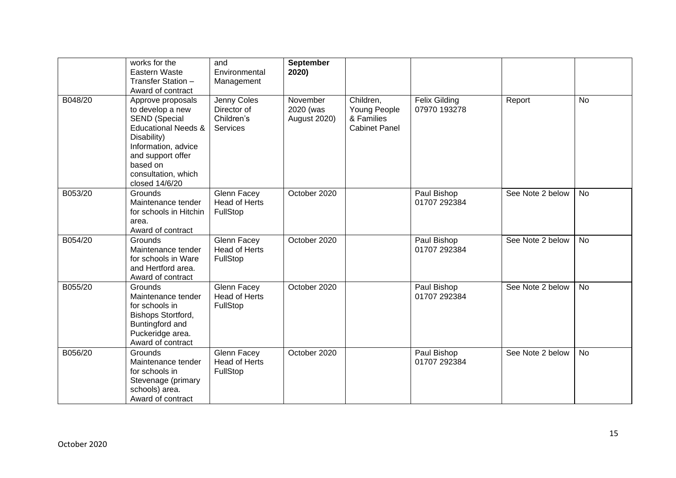|         | works for the<br>Eastern Waste<br>Transfer Station -<br>Award of contract                                                                                                                                       | and<br>Environmental<br>Management                          | September<br>2020)                    |                                                                 |                               |                  |           |
|---------|-----------------------------------------------------------------------------------------------------------------------------------------------------------------------------------------------------------------|-------------------------------------------------------------|---------------------------------------|-----------------------------------------------------------------|-------------------------------|------------------|-----------|
| B048/20 | Approve proposals<br>to develop a new<br><b>SEND (Special</b><br><b>Educational Needs &amp;</b><br>Disability)<br>Information, advice<br>and support offer<br>based on<br>consultation, which<br>closed 14/6/20 | Jenny Coles<br>Director of<br>Children's<br><b>Services</b> | November<br>2020 (was<br>August 2020) | Children,<br>Young People<br>& Families<br><b>Cabinet Panel</b> | Felix Gilding<br>07970 193278 | Report           | <b>No</b> |
| B053/20 | Grounds<br>Maintenance tender<br>for schools in Hitchin<br>area.<br>Award of contract                                                                                                                           | Glenn Facey<br>Head of Herts<br>FullStop                    | October 2020                          |                                                                 | Paul Bishop<br>01707 292384   | See Note 2 below | No        |
| B054/20 | Grounds<br>Maintenance tender<br>for schools in Ware<br>and Hertford area.<br>Award of contract                                                                                                                 | Glenn Facey<br><b>Head of Herts</b><br>FullStop             | October 2020                          |                                                                 | Paul Bishop<br>01707 292384   | See Note 2 below | No        |
| B055/20 | Grounds<br>Maintenance tender<br>for schools in<br>Bishops Stortford,<br>Buntingford and<br>Puckeridge area.<br>Award of contract                                                                               | Glenn Facey<br><b>Head of Herts</b><br>FullStop             | October 2020                          |                                                                 | Paul Bishop<br>01707 292384   | See Note 2 below | <b>No</b> |
| B056/20 | Grounds<br>Maintenance tender<br>for schools in<br>Stevenage (primary<br>schools) area.<br>Award of contract                                                                                                    | Glenn Facey<br><b>Head of Herts</b><br>FullStop             | October 2020                          |                                                                 | Paul Bishop<br>01707 292384   | See Note 2 below | <b>No</b> |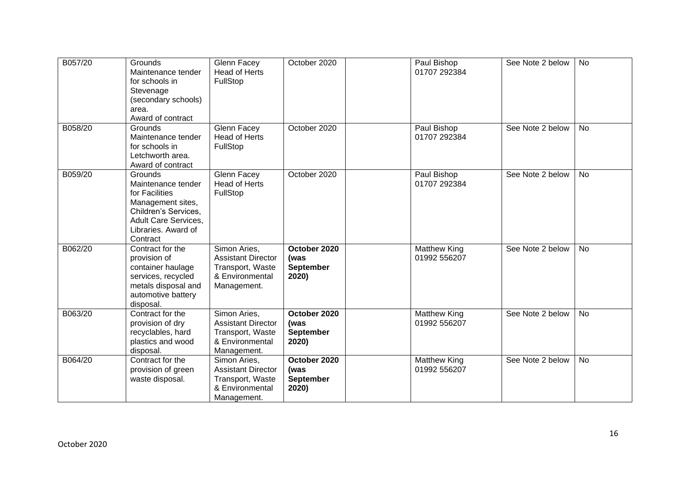| B057/20 | Grounds<br>Maintenance tender<br>for schools in<br>Stevenage<br>(secondary schools)<br>area.<br>Award of contract                                       | <b>Glenn Facey</b><br><b>Head of Herts</b><br>FullStop                                          | October 2020                                      | Paul Bishop<br>01707 292384         | See Note 2 below | <b>No</b> |
|---------|---------------------------------------------------------------------------------------------------------------------------------------------------------|-------------------------------------------------------------------------------------------------|---------------------------------------------------|-------------------------------------|------------------|-----------|
| B058/20 | Grounds<br>Maintenance tender<br>for schools in<br>Letchworth area.<br>Award of contract                                                                | Glenn Facey<br><b>Head of Herts</b><br>FullStop                                                 | October 2020                                      | Paul Bishop<br>01707 292384         | See Note 2 below | <b>No</b> |
| B059/20 | Grounds<br>Maintenance tender<br>for Facilities<br>Management sites,<br>Children's Services,<br>Adult Care Services,<br>Libraries. Award of<br>Contract | Glenn Facey<br><b>Head of Herts</b><br>FullStop                                                 | October 2020                                      | Paul Bishop<br>01707 292384         | See Note 2 below | <b>No</b> |
| B062/20 | Contract for the<br>provision of<br>container haulage<br>services, recycled<br>metals disposal and<br>automotive battery<br>disposal.                   | Simon Aries,<br><b>Assistant Director</b><br>Transport, Waste<br>& Environmental<br>Management. | October 2020<br>(was<br>September<br>2020)        | <b>Matthew King</b><br>01992 556207 | See Note 2 below | <b>No</b> |
| B063/20 | Contract for the<br>provision of dry<br>recyclables, hard<br>plastics and wood<br>disposal.                                                             | Simon Aries,<br><b>Assistant Director</b><br>Transport, Waste<br>& Environmental<br>Management. | October 2020<br>(was<br><b>September</b><br>2020) | <b>Matthew King</b><br>01992 556207 | See Note 2 below | <b>No</b> |
| B064/20 | Contract for the<br>provision of green<br>waste disposal.                                                                                               | Simon Aries,<br><b>Assistant Director</b><br>Transport, Waste<br>& Environmental<br>Management. | October 2020<br>(was<br><b>September</b><br>2020) | <b>Matthew King</b><br>01992 556207 | See Note 2 below | <b>No</b> |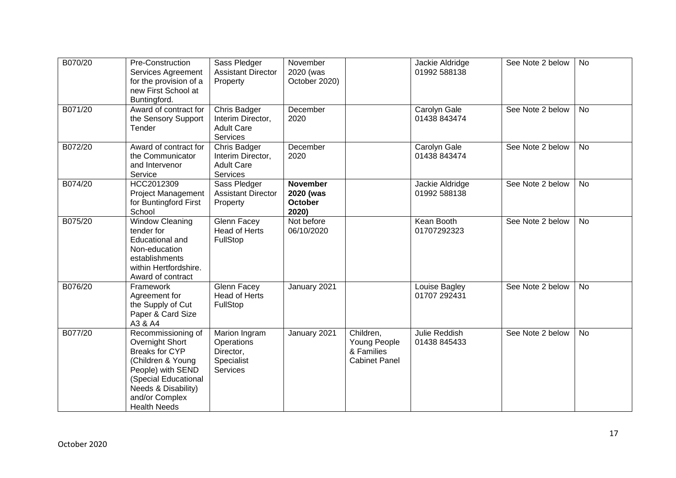| B070/20 | Pre-Construction<br>Services Agreement<br>for the provision of a<br>new First School at<br>Buntingford.                                                                                          | Sass Pledger<br><b>Assistant Director</b><br>Property                     | November<br>2020 (was<br>October 2020)                  |                                                                 | Jackie Aldridge<br>01992 588138 | See Note 2 below | No        |
|---------|--------------------------------------------------------------------------------------------------------------------------------------------------------------------------------------------------|---------------------------------------------------------------------------|---------------------------------------------------------|-----------------------------------------------------------------|---------------------------------|------------------|-----------|
| B071/20 | Award of contract for<br>the Sensory Support<br>Tender                                                                                                                                           | Chris Badger<br>Interim Director,<br><b>Adult Care</b><br><b>Services</b> | December<br>2020                                        |                                                                 | Carolyn Gale<br>01438 843474    | See Note 2 below | <b>No</b> |
| B072/20 | Award of contract for<br>the Communicator<br>and Intervenor<br>Service                                                                                                                           | Chris Badger<br>Interim Director,<br><b>Adult Care</b><br><b>Services</b> | December<br>2020                                        |                                                                 | Carolyn Gale<br>01438 843474    | See Note 2 below | <b>No</b> |
| B074/20 | HCC2012309<br><b>Project Management</b><br>for Buntingford First<br>School                                                                                                                       | Sass Pledger<br><b>Assistant Director</b><br>Property                     | <b>November</b><br>2020 (was<br><b>October</b><br>2020) |                                                                 | Jackie Aldridge<br>01992 588138 | See Note 2 below | <b>No</b> |
| B075/20 | <b>Window Cleaning</b><br>tender for<br>Educational and<br>Non-education<br>establishments<br>within Hertfordshire.<br>Award of contract                                                         | <b>Glenn Facey</b><br><b>Head of Herts</b><br>FullStop                    | Not before<br>06/10/2020                                |                                                                 | Kean Booth<br>01707292323       | See Note 2 below | <b>No</b> |
| B076/20 | Framework<br>Agreement for<br>the Supply of Cut<br>Paper & Card Size<br>A3 & A4                                                                                                                  | <b>Glenn Facey</b><br>Head of Herts<br>FullStop                           | January 2021                                            |                                                                 | Louise Bagley<br>01707 292431   | See Note 2 below | <b>No</b> |
| B077/20 | Recommissioning of<br>Overnight Short<br><b>Breaks for CYP</b><br>(Children & Young<br>People) with SEND<br>(Special Educational<br>Needs & Disability)<br>and/or Complex<br><b>Health Needs</b> | Marion Ingram<br>Operations<br>Director,<br>Specialist<br>Services        | January 2021                                            | Children,<br>Young People<br>& Families<br><b>Cabinet Panel</b> | Julie Reddish<br>01438 845433   | See Note 2 below | <b>No</b> |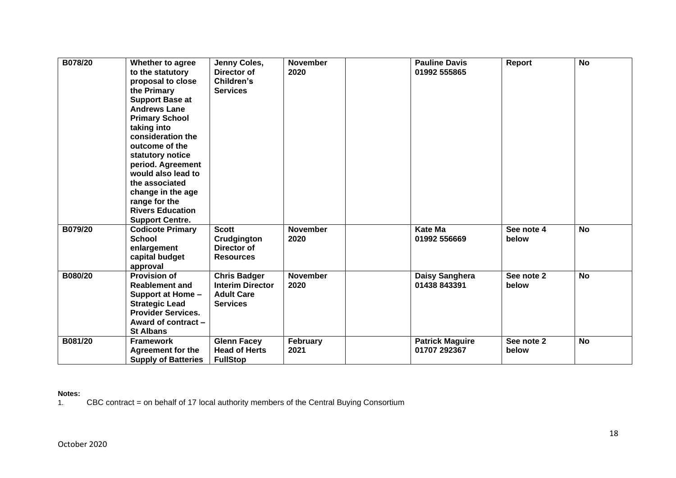| B078/20 | Whether to agree<br>to the statutory<br>proposal to close<br>the Primary<br><b>Support Base at</b><br><b>Andrews Lane</b><br><b>Primary School</b><br>taking into<br>consideration the<br>outcome of the<br>statutory notice<br>period. Agreement<br>would also lead to<br>the associated<br>change in the age<br>range for the<br><b>Rivers Education</b><br><b>Support Centre.</b> | Jenny Coles,<br>Director of<br>Children's<br><b>Services</b>                           | <b>November</b><br>2020 | <b>Pauline Davis</b><br>01992 555865   | <b>Report</b>       | <b>No</b> |
|---------|--------------------------------------------------------------------------------------------------------------------------------------------------------------------------------------------------------------------------------------------------------------------------------------------------------------------------------------------------------------------------------------|----------------------------------------------------------------------------------------|-------------------------|----------------------------------------|---------------------|-----------|
| B079/20 | <b>Codicote Primary</b><br><b>School</b><br>enlargement<br>capital budget<br>approval                                                                                                                                                                                                                                                                                                | <b>Scott</b><br>Crudgington<br>Director of<br><b>Resources</b>                         | <b>November</b><br>2020 | <b>Kate Ma</b><br>01992 556669         | See note 4<br>below | <b>No</b> |
| B080/20 | <b>Provision of</b><br><b>Reablement and</b><br>Support at Home -<br><b>Strategic Lead</b><br><b>Provider Services.</b><br>Award of contract -<br><b>St Albans</b>                                                                                                                                                                                                                   | <b>Chris Badger</b><br><b>Interim Director</b><br><b>Adult Care</b><br><b>Services</b> | <b>November</b><br>2020 | Daisy Sanghera<br>01438 843391         | See note 2<br>below | <b>No</b> |
| B081/20 | <b>Framework</b><br><b>Agreement for the</b><br><b>Supply of Batteries</b>                                                                                                                                                                                                                                                                                                           | <b>Glenn Facey</b><br><b>Head of Herts</b><br><b>FullStop</b>                          | <b>February</b><br>2021 | <b>Patrick Maguire</b><br>01707 292367 | See note 2<br>below | <b>No</b> |

#### **Notes:**

1. CBC contract = on behalf of 17 local authority members of the Central Buying Consortium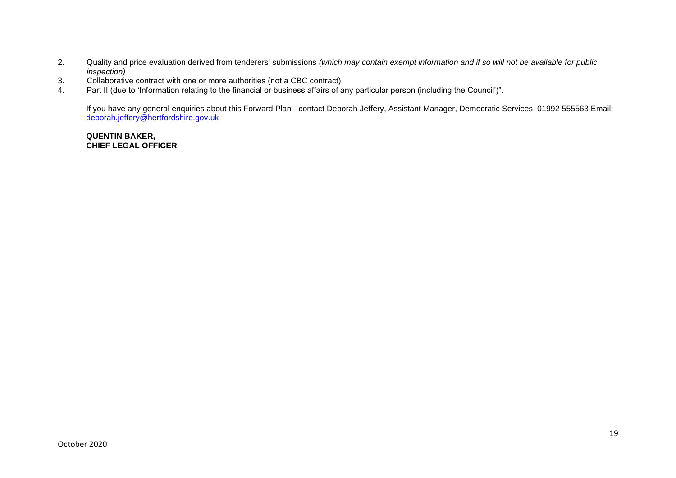- 2. Quality and price evaluation derived from tenderers' submissions *(which may contain exempt information and if so will not be available for public inspection)*
- 3. Collaborative contract with one or more authorities (not a CBC contract)<br>4. Part II (due to 'Information relating to the financial or business affairs of a
- 4. Part II (due to 'Information relating to the financial or business affairs of any particular person (including the Council')".

If you have any general enquiries about this Forward Plan - contact Deborah Jeffery, Assistant Manager, Democratic Services, 01992 555563 Email: [deborah.jeffery@hertfordshire.gov.uk](mailto:deborah.jeffery@hertfordshire.gov.uk) 

**QUENTIN BAKER, CHIEF LEGAL OFFICER**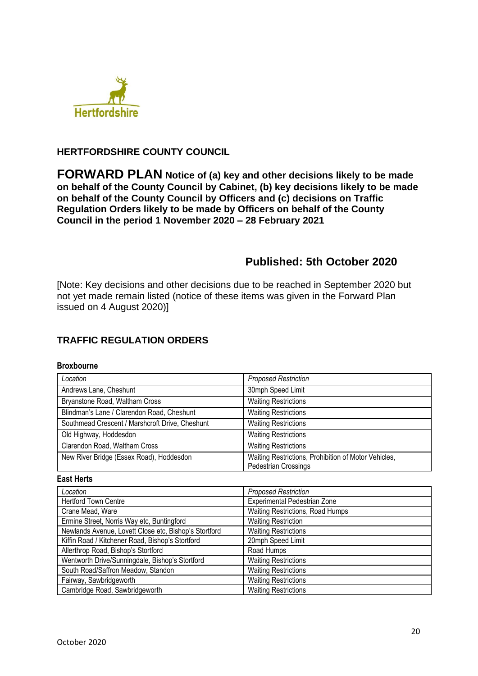

## **HERTFORDSHIRE COUNTY COUNCIL**

**FORWARD PLAN Notice of (a) key and other decisions likely to be made on behalf of the County Council by Cabinet, (b) key decisions likely to be made on behalf of the County Council by Officers and (c) decisions on Traffic Regulation Orders likely to be made by Officers on behalf of the County Council in the period 1 November 2020 – 28 February 2021** 

## **Published: 5th October 2020**

[Note: Key decisions and other decisions due to be reached in September 2020 but not yet made remain listed (notice of these items was given in the Forward Plan issued on 4 August 2020)]

## **TRAFFIC REGULATION ORDERS**

#### **Broxbourne**

| Location                                        | <b>Proposed Restriction</b>                                                         |
|-------------------------------------------------|-------------------------------------------------------------------------------------|
| Andrews Lane, Cheshunt                          | 30mph Speed Limit                                                                   |
| Bryanstone Road, Waltham Cross                  | <b>Waiting Restrictions</b>                                                         |
| Blindman's Lane / Clarendon Road, Cheshunt      | <b>Waiting Restrictions</b>                                                         |
| Southmead Crescent / Marshcroft Drive, Cheshunt | <b>Waiting Restrictions</b>                                                         |
| Old Highway, Hoddesdon                          | <b>Waiting Restrictions</b>                                                         |
| Clarendon Road, Waltham Cross                   | <b>Waiting Restrictions</b>                                                         |
| New River Bridge (Essex Road), Hoddesdon        | Waiting Restrictions, Prohibition of Motor Vehicles,<br><b>Pedestrian Crossings</b> |

#### **East Herts**

| Location                                              | <b>Proposed Restriction</b>      |
|-------------------------------------------------------|----------------------------------|
| <b>Hertford Town Centre</b>                           | Experimental Pedestrian Zone     |
| Crane Mead, Ware                                      | Waiting Restrictions, Road Humps |
| Ermine Street, Norris Way etc, Buntingford            | <b>Waiting Restriction</b>       |
| Newlands Avenue, Lovett Close etc, Bishop's Stortford | <b>Waiting Restrictions</b>      |
| Kiffin Road / Kitchener Road, Bishop's Stortford      | 20mph Speed Limit                |
| Allerthrop Road, Bishop's Stortford                   | Road Humps                       |
| Wentworth Drive/Sunningdale, Bishop's Stortford       | <b>Waiting Restrictions</b>      |
| South Road/Saffron Meadow, Standon                    | <b>Waiting Restrictions</b>      |
| Fairway, Sawbridgeworth                               | <b>Waiting Restrictions</b>      |
| Cambridge Road, Sawbridgeworth                        | <b>Waiting Restrictions</b>      |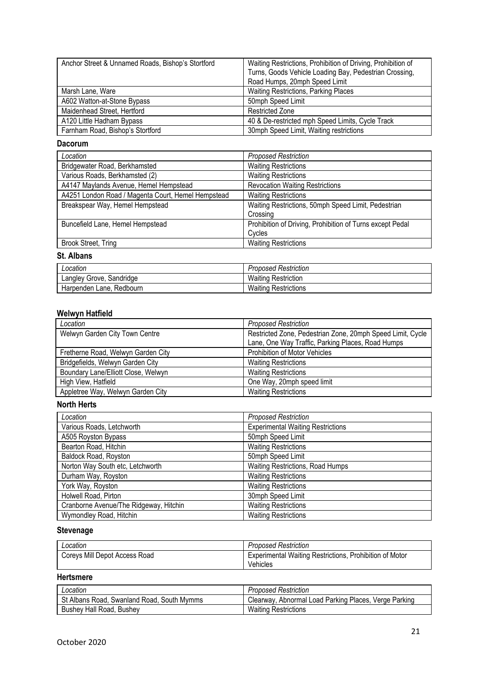| Anchor Street & Unnamed Roads, Bishop's Stortford | Waiting Restrictions, Prohibition of Driving, Prohibition of<br>Turns, Goods Vehicle Loading Bay, Pedestrian Crossing,<br>Road Humps, 20mph Speed Limit |
|---------------------------------------------------|---------------------------------------------------------------------------------------------------------------------------------------------------------|
| Marsh Lane, Ware                                  | <b>Waiting Restrictions, Parking Places</b>                                                                                                             |
| A602 Watton-at-Stone Bypass                       | 50mph Speed Limit                                                                                                                                       |
| Maidenhead Street, Hertford                       | <b>Restricted Zone</b>                                                                                                                                  |
| A120 Little Hadham Bypass                         | 40 & De-restricted mph Speed Limits, Cycle Track                                                                                                        |
| Farnham Road, Bishop's Stortford                  | 30mph Speed Limit, Waiting restrictions                                                                                                                 |

#### **Dacorum**

| Location                                           | <b>Proposed Restriction</b>                                         |
|----------------------------------------------------|---------------------------------------------------------------------|
| Bridgewater Road, Berkhamsted                      | <b>Waiting Restrictions</b>                                         |
| Various Roads, Berkhamsted (2)                     | <b>Waiting Restrictions</b>                                         |
| A4147 Maylands Avenue, Hemel Hempstead             | <b>Revocation Waiting Restrictions</b>                              |
| A4251 London Road / Magenta Court, Hemel Hempstead | <b>Waiting Restrictions</b>                                         |
| Breakspear Way, Hemel Hempstead                    | Waiting Restrictions, 50mph Speed Limit, Pedestrian<br>Crossing     |
| Buncefield Lane, Hemel Hempstead                   | Prohibition of Driving, Prohibition of Turns except Pedal<br>Cycles |
| Brook Street, Tring                                | <b>Waiting Restrictions</b>                                         |

#### **St. Albans**

| Location                    | <b>Proposed Restriction</b> |
|-----------------------------|-----------------------------|
| Langley Grove, Sandridge    | <b>Waiting Restriction</b>  |
| Harpenden Lane.<br>Redbourn | <b>Waiting Restrictions</b> |

## **Welwyn Hatfield**

| Location                            | <b>Proposed Restriction</b>                                |
|-------------------------------------|------------------------------------------------------------|
| Welwyn Garden City Town Centre      | Restricted Zone, Pedestrian Zone, 20mph Speed Limit, Cycle |
|                                     | Lane, One Way Traffic, Parking Places, Road Humps          |
| Fretherne Road, Welwyn Garden City  | Prohibition of Motor Vehicles                              |
| Bridgefields, Welwyn Garden City    | <b>Waiting Restrictions</b>                                |
| Boundary Lane/Elliott Close, Welwyn | <b>Waiting Restrictions</b>                                |
| High View, Hatfield                 | One Way, 20mph speed limit                                 |
| Appletree Way, Welwyn Garden City   | <b>Waiting Restrictions</b>                                |

#### **North Herts**

| Location                               | <b>Proposed Restriction</b>              |
|----------------------------------------|------------------------------------------|
| Various Roads, Letchworth              | <b>Experimental Waiting Restrictions</b> |
| A505 Royston Bypass                    | 50mph Speed Limit                        |
| Bearton Road, Hitchin                  | <b>Waiting Restrictions</b>              |
| Baldock Road, Royston                  | 50mph Speed Limit                        |
| Norton Way South etc, Letchworth       | Waiting Restrictions, Road Humps         |
| Durham Way, Royston                    | <b>Waiting Restrictions</b>              |
| York Way, Royston                      | <b>Waiting Restrictions</b>              |
| Holwell Road, Pirton                   | 30mph Speed Limit                        |
| Cranborne Avenue/The Ridgeway, Hitchin | <b>Waiting Restrictions</b>              |
| Wymondley Road, Hitchin                | <b>Waiting Restrictions</b>              |

#### **Stevenage**

| Location                      | <b>Proposed Restriction</b>                                    |
|-------------------------------|----------------------------------------------------------------|
| Coreys Mill Depot Access Road | <b>Experimental Waiting Restrictions, Prohibition of Motor</b> |
|                               | Vehicles                                                       |

## **Hertsmere**

| ∟ocation                                   | <b>Proposed Restriction</b>                           |
|--------------------------------------------|-------------------------------------------------------|
| St Albans Road, Swanland Road, South Mymms | Clearway, Abnormal Load Parking Places, Verge Parking |
| Bushey Hall Road, Bushey                   | <b>Waiting Restrictions</b>                           |